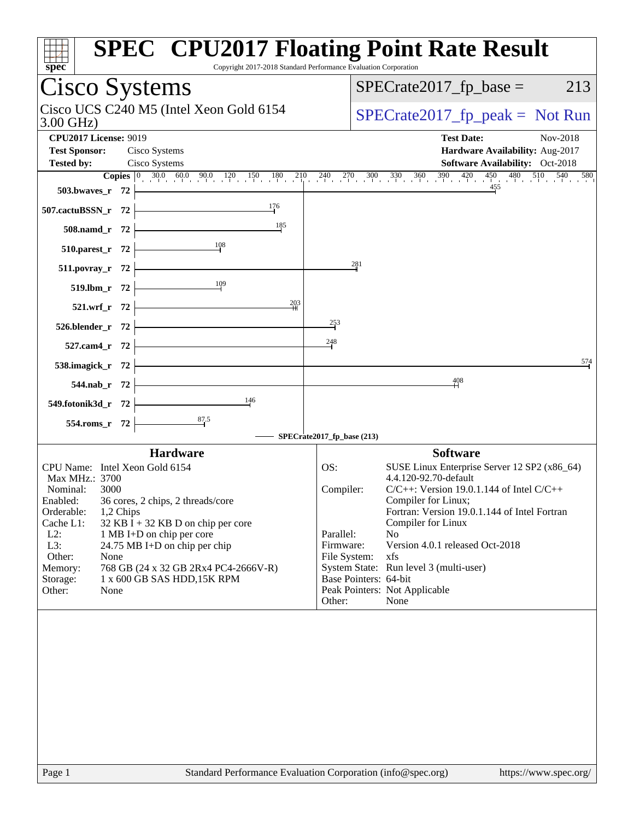| spec <sup>®</sup>                                                                                           | <b>SPEC<sup>®</sup> CPU2017 Floating Point Rate Result</b><br>Copyright 2017-2018 Standard Performance Evaluation Corporation                                        |
|-------------------------------------------------------------------------------------------------------------|----------------------------------------------------------------------------------------------------------------------------------------------------------------------|
| Cisco Systems                                                                                               | $SPECrate2017fp base =$<br>213                                                                                                                                       |
| Cisco UCS C240 M5 (Intel Xeon Gold 6154<br>$3.00$ GHz)                                                      | $SPECTate2017_fp\_peak = Not Run$                                                                                                                                    |
| <b>CPU2017 License: 9019</b><br><b>Test Sponsor:</b><br>Cisco Systems<br>Cisco Systems<br><b>Tested by:</b> | <b>Test Date:</b><br>Nov-2018<br>Hardware Availability: Aug-2017<br><b>Software Availability:</b> Oct-2018                                                           |
|                                                                                                             | <b>Copies</b> $\begin{bmatrix} 0 & 30.0 & 60.0 & 90.0 & 120 & 150 & 180 & 210 & 240 & 270 & 300 & 330 & 360 & 390 & 420 & 450 & 480 & 510 & 540 & 580 \end{bmatrix}$ |
| 503.bwaves_r 72                                                                                             | 455                                                                                                                                                                  |
| 176<br>507.cactuBSSN_r 72                                                                                   |                                                                                                                                                                      |
| 185<br>508.namd_r 72                                                                                        |                                                                                                                                                                      |
| $\frac{108}{1}$<br>510.parest_r 72                                                                          |                                                                                                                                                                      |
| 511.povray_r 72                                                                                             | 281                                                                                                                                                                  |
| 109<br>519.lbm_r 72                                                                                         |                                                                                                                                                                      |
| $\frac{203}{1}$<br>521.wrf_r 72                                                                             |                                                                                                                                                                      |
|                                                                                                             | $\frac{253}{5}$                                                                                                                                                      |
| 526.blender_r 72                                                                                            | 248                                                                                                                                                                  |
| 527.cam4_r 72                                                                                               |                                                                                                                                                                      |
| 538.imagick_r 72                                                                                            | 574                                                                                                                                                                  |
| 544.nab_r 72                                                                                                | 408                                                                                                                                                                  |
| 146<br>549.fotonik3d_r 72                                                                                   |                                                                                                                                                                      |
| 554.roms_r 72                                                                                               |                                                                                                                                                                      |
|                                                                                                             | SPECrate2017_fp_base (213)                                                                                                                                           |
| <b>Hardware</b>                                                                                             | <b>Software</b>                                                                                                                                                      |
| CPU Name: Intel Xeon Gold 6154<br>Max MHz.: 3700                                                            | OS:<br>SUSE Linux Enterprise Server 12 SP2 (x86_64)<br>4.4.120-92.70-default                                                                                         |
| Nominal:<br>3000                                                                                            | $C/C++$ : Version 19.0.1.144 of Intel $C/C++$<br>Compiler:                                                                                                           |
| Enabled:<br>36 cores, 2 chips, 2 threads/core<br>Orderable:<br>1,2 Chips                                    | Compiler for Linux;<br>Fortran: Version 19.0.1.144 of Intel Fortran                                                                                                  |
| Cache L1:<br>$32$ KB I + 32 KB D on chip per core                                                           | Compiler for Linux                                                                                                                                                   |
| $L2$ :<br>1 MB I+D on chip per core<br>L3:<br>24.75 MB I+D on chip per chip                                 | Parallel:<br>N <sub>o</sub><br>Version 4.0.1 released Oct-2018<br>Firmware:                                                                                          |
| Other:<br>None                                                                                              | xfs<br>File System:                                                                                                                                                  |
| 768 GB (24 x 32 GB 2Rx4 PC4-2666V-R)<br>Memory:                                                             | System State: Run level 3 (multi-user)                                                                                                                               |
|                                                                                                             |                                                                                                                                                                      |
|                                                                                                             | Other:<br>None                                                                                                                                                       |
| 1 x 600 GB SAS HDD, 15K RPM<br>Storage:<br>Other:<br>None                                                   | Base Pointers: 64-bit<br>Peak Pointers: Not Applicable                                                                                                               |
| Page 1                                                                                                      | Standard Performance Evaluation Corporation (info@spec.org)<br>https://www.spec.org/                                                                                 |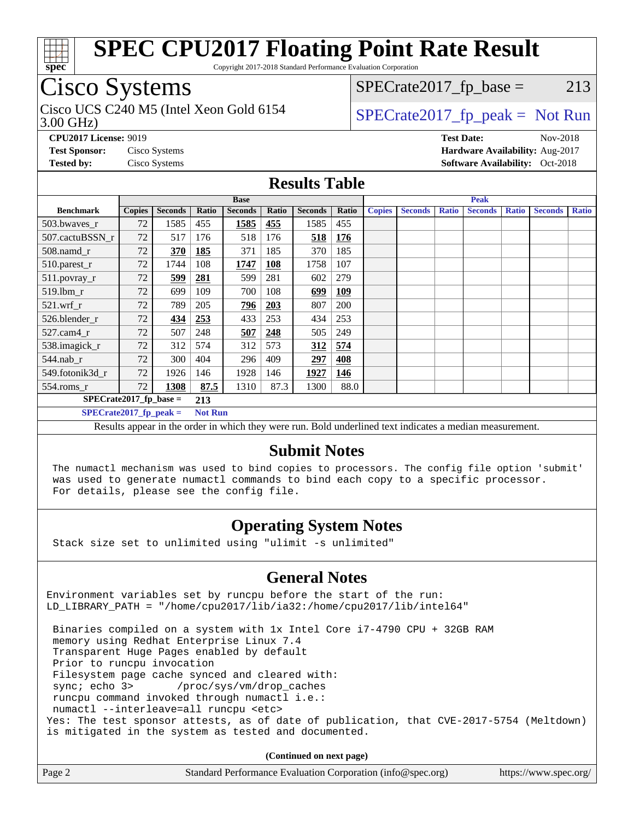

Copyright 2017-2018 Standard Performance Evaluation Corporation

## Cisco Systems

3.00 GHz) Cisco UCS C240 M5 (Intel Xeon Gold 6154  $\vert$  [SPECrate2017\\_fp\\_peak =](http://www.spec.org/auto/cpu2017/Docs/result-fields.html#SPECrate2017fppeak) Not Run

 $SPECTate2017<sub>fr</sub> base = 213$ 

**[CPU2017 License:](http://www.spec.org/auto/cpu2017/Docs/result-fields.html#CPU2017License)** 9019 **[Test Date:](http://www.spec.org/auto/cpu2017/Docs/result-fields.html#TestDate)** Nov-2018 **[Test Sponsor:](http://www.spec.org/auto/cpu2017/Docs/result-fields.html#TestSponsor)** Cisco Systems **[Hardware Availability:](http://www.spec.org/auto/cpu2017/Docs/result-fields.html#HardwareAvailability)** Aug-2017 **[Tested by:](http://www.spec.org/auto/cpu2017/Docs/result-fields.html#Testedby)** Cisco Systems **[Software Availability:](http://www.spec.org/auto/cpu2017/Docs/result-fields.html#SoftwareAvailability)** Oct-2018

#### **[Results Table](http://www.spec.org/auto/cpu2017/Docs/result-fields.html#ResultsTable)**

| <b>Base</b>                     |               |                |                |                |            | <b>Peak</b>    |            |               |                |              |                |              |                |              |
|---------------------------------|---------------|----------------|----------------|----------------|------------|----------------|------------|---------------|----------------|--------------|----------------|--------------|----------------|--------------|
| <b>Benchmark</b>                | <b>Copies</b> | <b>Seconds</b> | <b>Ratio</b>   | <b>Seconds</b> | Ratio      | <b>Seconds</b> | Ratio      | <b>Copies</b> | <b>Seconds</b> | <b>Ratio</b> | <b>Seconds</b> | <b>Ratio</b> | <b>Seconds</b> | <b>Ratio</b> |
| 503.bwayes_r                    | 72            | 1585           | 455            | 1585           | 455        | 1585           | 455        |               |                |              |                |              |                |              |
| 507.cactuBSSN r                 | 72            | 517            | 176            | 518            | 176        | 518            | 176        |               |                |              |                |              |                |              |
| $508$ .namd $r$                 | 72            | 370            | <b>185</b>     | 371            | 185        | 370            | 185        |               |                |              |                |              |                |              |
| 510.parest_r                    | 72            | 1744           | 108            | 1747           | <b>108</b> | 1758           | 107        |               |                |              |                |              |                |              |
| 511.povray_r                    | 72            | 599            | 281            | 599            | 281        | 602            | 279        |               |                |              |                |              |                |              |
| $519$ .lbm $r$                  | 72            | 699            | 109            | 700            | 108        | 699            | <b>109</b> |               |                |              |                |              |                |              |
| $521$ .wrf r                    | 72            | 789            | 205            | 796            | 203        | 807            | 200        |               |                |              |                |              |                |              |
| 526.blender_r                   | 72            | 434            | 253            | 433            | 253        | 434            | 253        |               |                |              |                |              |                |              |
| $527$ .cam $4r$                 | 72            | 507            | 248            | 507            | 248        | 505            | 249        |               |                |              |                |              |                |              |
| 538.imagick_r                   | 72            | 312            | 574            | 312            | 573        | 312            | 574        |               |                |              |                |              |                |              |
| $544$ .nab_r                    | 72            | 300            | 404            | 296            | 409        | 297            | 408        |               |                |              |                |              |                |              |
| 549.fotonik3d r                 | 72            | 1926           | 146            | 1928           | 146        | 1927           | 146        |               |                |              |                |              |                |              |
| $554$ .roms_r                   | 72            | 1308           | 87.5           | 1310           | 87.3       | 1300           | 88.0       |               |                |              |                |              |                |              |
| $SPECrate2017$ fp base =<br>213 |               |                |                |                |            |                |            |               |                |              |                |              |                |              |
| $SPECrate2017_fp\_peak =$       |               |                | <b>Not Run</b> |                |            |                |            |               |                |              |                |              |                |              |

Results appear in the [order in which they were run.](http://www.spec.org/auto/cpu2017/Docs/result-fields.html#RunOrder) Bold underlined text [indicates a median measurement.](http://www.spec.org/auto/cpu2017/Docs/result-fields.html#Median)

#### **[Submit Notes](http://www.spec.org/auto/cpu2017/Docs/result-fields.html#SubmitNotes)**

 The numactl mechanism was used to bind copies to processors. The config file option 'submit' was used to generate numactl commands to bind each copy to a specific processor. For details, please see the config file.

#### **[Operating System Notes](http://www.spec.org/auto/cpu2017/Docs/result-fields.html#OperatingSystemNotes)**

Stack size set to unlimited using "ulimit -s unlimited"

#### **[General Notes](http://www.spec.org/auto/cpu2017/Docs/result-fields.html#GeneralNotes)**

Environment variables set by runcpu before the start of the run: LD\_LIBRARY\_PATH = "/home/cpu2017/lib/ia32:/home/cpu2017/lib/intel64"

 Binaries compiled on a system with 1x Intel Core i7-4790 CPU + 32GB RAM memory using Redhat Enterprise Linux 7.4 Transparent Huge Pages enabled by default Prior to runcpu invocation Filesystem page cache synced and cleared with: sync; echo 3> /proc/sys/vm/drop\_caches runcpu command invoked through numactl i.e.: numactl --interleave=all runcpu <etc> Yes: The test sponsor attests, as of date of publication, that CVE-2017-5754 (Meltdown) is mitigated in the system as tested and documented.

**(Continued on next page)**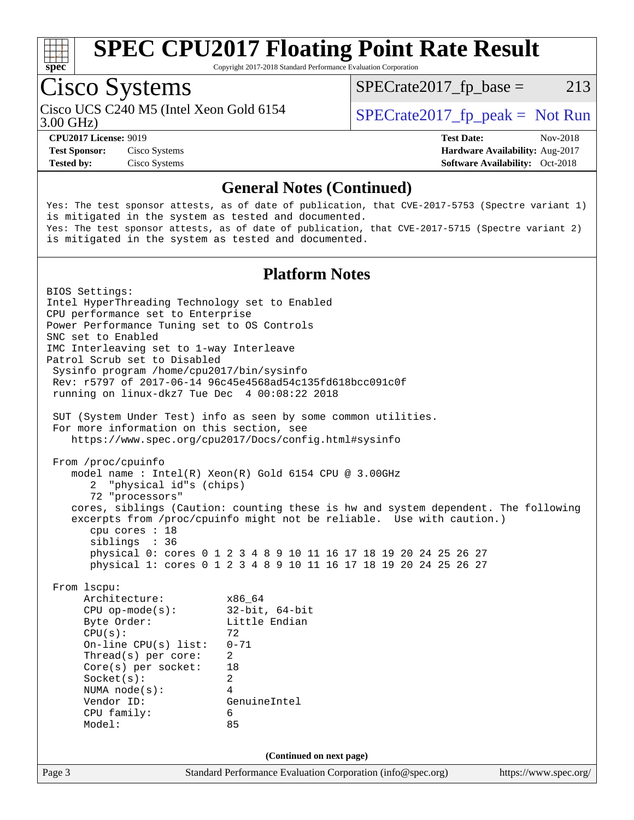

Copyright 2017-2018 Standard Performance Evaluation Corporation

## Cisco Systems

3.00 GHz) Cisco UCS C240 M5 (Intel Xeon Gold 6154  $\vert$  [SPECrate2017\\_fp\\_peak =](http://www.spec.org/auto/cpu2017/Docs/result-fields.html#SPECrate2017fppeak) Not Run

 $SPECTate2017<sub>fr</sub> base = 213$ 

#### **[CPU2017 License:](http://www.spec.org/auto/cpu2017/Docs/result-fields.html#CPU2017License)** 9019 **[Test Date:](http://www.spec.org/auto/cpu2017/Docs/result-fields.html#TestDate)** Nov-2018

**[Test Sponsor:](http://www.spec.org/auto/cpu2017/Docs/result-fields.html#TestSponsor)** Cisco Systems **[Hardware Availability:](http://www.spec.org/auto/cpu2017/Docs/result-fields.html#HardwareAvailability)** Aug-2017

**[Tested by:](http://www.spec.org/auto/cpu2017/Docs/result-fields.html#Testedby)** Cisco Systems **[Software Availability:](http://www.spec.org/auto/cpu2017/Docs/result-fields.html#SoftwareAvailability)** Oct-2018

#### **[General Notes \(Continued\)](http://www.spec.org/auto/cpu2017/Docs/result-fields.html#GeneralNotes)**

Yes: The test sponsor attests, as of date of publication, that CVE-2017-5753 (Spectre variant 1) is mitigated in the system as tested and documented. Yes: The test sponsor attests, as of date of publication, that CVE-2017-5715 (Spectre variant 2) is mitigated in the system as tested and documented.

#### **[Platform Notes](http://www.spec.org/auto/cpu2017/Docs/result-fields.html#PlatformNotes)**

Page 3 Standard Performance Evaluation Corporation [\(info@spec.org\)](mailto:info@spec.org) <https://www.spec.org/> BIOS Settings: Intel HyperThreading Technology set to Enabled CPU performance set to Enterprise Power Performance Tuning set to OS Controls SNC set to Enabled IMC Interleaving set to 1-way Interleave Patrol Scrub set to Disabled Sysinfo program /home/cpu2017/bin/sysinfo Rev: r5797 of 2017-06-14 96c45e4568ad54c135fd618bcc091c0f running on linux-dkz7 Tue Dec 4 00:08:22 2018 SUT (System Under Test) info as seen by some common utilities. For more information on this section, see <https://www.spec.org/cpu2017/Docs/config.html#sysinfo> From /proc/cpuinfo model name : Intel(R) Xeon(R) Gold 6154 CPU @ 3.00GHz 2 "physical id"s (chips) 72 "processors" cores, siblings (Caution: counting these is hw and system dependent. The following excerpts from /proc/cpuinfo might not be reliable. Use with caution.) cpu cores : 18 siblings : 36 physical 0: cores 0 1 2 3 4 8 9 10 11 16 17 18 19 20 24 25 26 27 physical 1: cores 0 1 2 3 4 8 9 10 11 16 17 18 19 20 24 25 26 27 From lscpu: Architecture: x86\_64 CPU op-mode(s): 32-bit, 64-bit Byte Order: Little Endian  $CPU(s):$  72 On-line CPU(s) list: 0-71 Thread(s) per core: 2 Core(s) per socket: 18 Socket(s): 2 NUMA node(s): 4 Vendor ID: GenuineIntel CPU family: 6 Model: 85 **(Continued on next page)**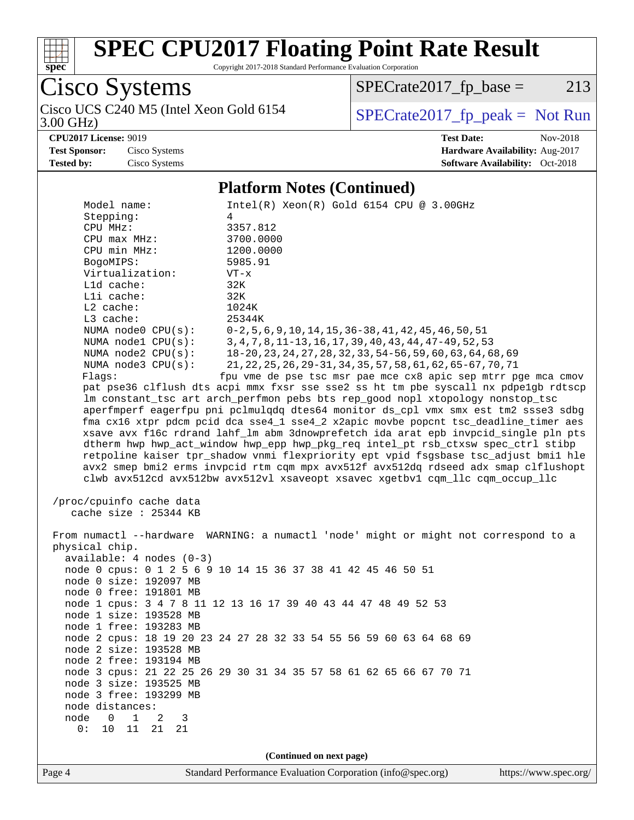

Copyright 2017-2018 Standard Performance Evaluation Corporation

Cisco Systems<br>Cisco UCS C240 M5 (Intel Xeon Gold 6154

 $SPECrate2017_fp\_base = 213$ 

3.00 GHz)

### $SPECTate 2017_fp\_peak = Not Run$

**[CPU2017 License:](http://www.spec.org/auto/cpu2017/Docs/result-fields.html#CPU2017License)** 9019 **[Test Date:](http://www.spec.org/auto/cpu2017/Docs/result-fields.html#TestDate)** Nov-2018 **[Test Sponsor:](http://www.spec.org/auto/cpu2017/Docs/result-fields.html#TestSponsor)** Cisco Systems **[Hardware Availability:](http://www.spec.org/auto/cpu2017/Docs/result-fields.html#HardwareAvailability)** Aug-2017 **[Tested by:](http://www.spec.org/auto/cpu2017/Docs/result-fields.html#Testedby)** Cisco Systems **[Software Availability:](http://www.spec.org/auto/cpu2017/Docs/result-fields.html#SoftwareAvailability)** Oct-2018

#### **[Platform Notes \(Continued\)](http://www.spec.org/auto/cpu2017/Docs/result-fields.html#PlatformNotes)**

| Stepping:<br>4<br>CPU MHz:<br>3357.812<br>$CPU$ $max$ $MHz$ :<br>3700.0000<br>CPU min MHz:<br>1200.0000<br>5985.91<br>BogoMIPS:<br>Virtualization:<br>$VT - x$<br>Lld cache:<br>32K<br>Lli cache:<br>32K<br>$L2$ cache:<br>1024K<br>L3 cache:<br>25344K<br>NUMA node0 CPU(s):<br>$0-2, 5, 6, 9, 10, 14, 15, 36-38, 41, 42, 45, 46, 50, 51$<br>NUMA nodel CPU(s):<br>3, 4, 7, 8, 11-13, 16, 17, 39, 40, 43, 44, 47-49, 52, 53<br>NUMA node2 CPU(s):<br>18-20, 23, 24, 27, 28, 32, 33, 54-56, 59, 60, 63, 64, 68, 69<br>NUMA $node3$ $CPU(s):$<br>21, 22, 25, 26, 29-31, 34, 35, 57, 58, 61, 62, 65-67, 70, 71<br>fpu vme de pse tsc msr pae mce cx8 apic sep mtrr pge mca cmov<br>Flags:<br>pat pse36 clflush dts acpi mmx fxsr sse sse2 ss ht tm pbe syscall nx pdpelgb rdtscp<br>lm constant_tsc art arch_perfmon pebs bts rep_good nopl xtopology nonstop_tsc<br>aperfmperf eagerfpu pni pclmulqdq dtes64 monitor ds_cpl vmx smx est tm2 ssse3 sdbg<br>fma cx16 xtpr pdcm pcid dca sse4_1 sse4_2 x2apic movbe popcnt tsc_deadline_timer aes<br>xsave avx f16c rdrand lahf_lm abm 3dnowprefetch ida arat epb invpcid_single pln pts<br>dtherm hwp hwp_act_window hwp_epp hwp_pkg_req intel_pt rsb_ctxsw spec_ctrl stibp<br>retpoline kaiser tpr_shadow vnmi flexpriority ept vpid fsgsbase tsc_adjust bmil hle<br>avx2 smep bmi2 erms invpcid rtm cqm mpx avx512f avx512dq rdseed adx smap clflushopt<br>clwb avx512cd avx512bw avx512vl xsaveopt xsavec xgetbvl cqm_llc cqm_occup_llc<br>/proc/cpuinfo cache data<br>cache size $: 25344$ KB<br>From numactl --hardware WARNING: a numactl 'node' might or might not correspond to a<br>physical chip.<br>$available: 4 nodes (0-3)$<br>node 0 cpus: 0 1 2 5 6 9 10 14 15 36 37 38 41 42 45 46 50 51<br>node 0 size: 192097 MB<br>node 0 free: 191801 MB<br>node 1 cpus: 3 4 7 8 11 12 13 16 17 39 40 43 44 47 48 49 52 53<br>node 1 size: 193528 MB<br>node 1 free: 193283 MB<br>node 2 cpus: 18 19 20 23 24 27 28 32 33 54 55 56 59 60 63 64 68 69<br>node 2 size: 193528 MB<br>node 2 free: 193194 MB<br>node 3 cpus: 21 22 25 26 29 30 31 34 35 57 58 61 62 65 66 67 70 71<br>node 3 size: 193525 MB<br>node 3 free: 193299 MB<br>node distances:<br>node<br>$\Omega$<br>$\mathbf{1}$<br>2<br>3<br>0:<br>10<br>11<br>21<br>21<br>(Continued on next page) | Model name: | $Intel(R) Xeon(R) Gold 6154 CPU @ 3.00GHz$ |
|-----------------------------------------------------------------------------------------------------------------------------------------------------------------------------------------------------------------------------------------------------------------------------------------------------------------------------------------------------------------------------------------------------------------------------------------------------------------------------------------------------------------------------------------------------------------------------------------------------------------------------------------------------------------------------------------------------------------------------------------------------------------------------------------------------------------------------------------------------------------------------------------------------------------------------------------------------------------------------------------------------------------------------------------------------------------------------------------------------------------------------------------------------------------------------------------------------------------------------------------------------------------------------------------------------------------------------------------------------------------------------------------------------------------------------------------------------------------------------------------------------------------------------------------------------------------------------------------------------------------------------------------------------------------------------------------------------------------------------------------------------------------------------------------------------------------------------------------------------------------------------------------------------------------------------------------------------------------------------------------------------------------------------------------------------------------------------------------------------------------------------------------------------------------------------------------------------------------------------------------------------------------------------------------------------------------|-------------|--------------------------------------------|
|                                                                                                                                                                                                                                                                                                                                                                                                                                                                                                                                                                                                                                                                                                                                                                                                                                                                                                                                                                                                                                                                                                                                                                                                                                                                                                                                                                                                                                                                                                                                                                                                                                                                                                                                                                                                                                                                                                                                                                                                                                                                                                                                                                                                                                                                                                                 |             |                                            |
|                                                                                                                                                                                                                                                                                                                                                                                                                                                                                                                                                                                                                                                                                                                                                                                                                                                                                                                                                                                                                                                                                                                                                                                                                                                                                                                                                                                                                                                                                                                                                                                                                                                                                                                                                                                                                                                                                                                                                                                                                                                                                                                                                                                                                                                                                                                 |             |                                            |
|                                                                                                                                                                                                                                                                                                                                                                                                                                                                                                                                                                                                                                                                                                                                                                                                                                                                                                                                                                                                                                                                                                                                                                                                                                                                                                                                                                                                                                                                                                                                                                                                                                                                                                                                                                                                                                                                                                                                                                                                                                                                                                                                                                                                                                                                                                                 |             |                                            |
|                                                                                                                                                                                                                                                                                                                                                                                                                                                                                                                                                                                                                                                                                                                                                                                                                                                                                                                                                                                                                                                                                                                                                                                                                                                                                                                                                                                                                                                                                                                                                                                                                                                                                                                                                                                                                                                                                                                                                                                                                                                                                                                                                                                                                                                                                                                 |             |                                            |
|                                                                                                                                                                                                                                                                                                                                                                                                                                                                                                                                                                                                                                                                                                                                                                                                                                                                                                                                                                                                                                                                                                                                                                                                                                                                                                                                                                                                                                                                                                                                                                                                                                                                                                                                                                                                                                                                                                                                                                                                                                                                                                                                                                                                                                                                                                                 |             |                                            |
|                                                                                                                                                                                                                                                                                                                                                                                                                                                                                                                                                                                                                                                                                                                                                                                                                                                                                                                                                                                                                                                                                                                                                                                                                                                                                                                                                                                                                                                                                                                                                                                                                                                                                                                                                                                                                                                                                                                                                                                                                                                                                                                                                                                                                                                                                                                 |             |                                            |
|                                                                                                                                                                                                                                                                                                                                                                                                                                                                                                                                                                                                                                                                                                                                                                                                                                                                                                                                                                                                                                                                                                                                                                                                                                                                                                                                                                                                                                                                                                                                                                                                                                                                                                                                                                                                                                                                                                                                                                                                                                                                                                                                                                                                                                                                                                                 |             |                                            |
|                                                                                                                                                                                                                                                                                                                                                                                                                                                                                                                                                                                                                                                                                                                                                                                                                                                                                                                                                                                                                                                                                                                                                                                                                                                                                                                                                                                                                                                                                                                                                                                                                                                                                                                                                                                                                                                                                                                                                                                                                                                                                                                                                                                                                                                                                                                 |             |                                            |
|                                                                                                                                                                                                                                                                                                                                                                                                                                                                                                                                                                                                                                                                                                                                                                                                                                                                                                                                                                                                                                                                                                                                                                                                                                                                                                                                                                                                                                                                                                                                                                                                                                                                                                                                                                                                                                                                                                                                                                                                                                                                                                                                                                                                                                                                                                                 |             |                                            |
|                                                                                                                                                                                                                                                                                                                                                                                                                                                                                                                                                                                                                                                                                                                                                                                                                                                                                                                                                                                                                                                                                                                                                                                                                                                                                                                                                                                                                                                                                                                                                                                                                                                                                                                                                                                                                                                                                                                                                                                                                                                                                                                                                                                                                                                                                                                 |             |                                            |
|                                                                                                                                                                                                                                                                                                                                                                                                                                                                                                                                                                                                                                                                                                                                                                                                                                                                                                                                                                                                                                                                                                                                                                                                                                                                                                                                                                                                                                                                                                                                                                                                                                                                                                                                                                                                                                                                                                                                                                                                                                                                                                                                                                                                                                                                                                                 |             |                                            |
|                                                                                                                                                                                                                                                                                                                                                                                                                                                                                                                                                                                                                                                                                                                                                                                                                                                                                                                                                                                                                                                                                                                                                                                                                                                                                                                                                                                                                                                                                                                                                                                                                                                                                                                                                                                                                                                                                                                                                                                                                                                                                                                                                                                                                                                                                                                 |             |                                            |
|                                                                                                                                                                                                                                                                                                                                                                                                                                                                                                                                                                                                                                                                                                                                                                                                                                                                                                                                                                                                                                                                                                                                                                                                                                                                                                                                                                                                                                                                                                                                                                                                                                                                                                                                                                                                                                                                                                                                                                                                                                                                                                                                                                                                                                                                                                                 |             |                                            |
|                                                                                                                                                                                                                                                                                                                                                                                                                                                                                                                                                                                                                                                                                                                                                                                                                                                                                                                                                                                                                                                                                                                                                                                                                                                                                                                                                                                                                                                                                                                                                                                                                                                                                                                                                                                                                                                                                                                                                                                                                                                                                                                                                                                                                                                                                                                 |             |                                            |
|                                                                                                                                                                                                                                                                                                                                                                                                                                                                                                                                                                                                                                                                                                                                                                                                                                                                                                                                                                                                                                                                                                                                                                                                                                                                                                                                                                                                                                                                                                                                                                                                                                                                                                                                                                                                                                                                                                                                                                                                                                                                                                                                                                                                                                                                                                                 |             |                                            |
|                                                                                                                                                                                                                                                                                                                                                                                                                                                                                                                                                                                                                                                                                                                                                                                                                                                                                                                                                                                                                                                                                                                                                                                                                                                                                                                                                                                                                                                                                                                                                                                                                                                                                                                                                                                                                                                                                                                                                                                                                                                                                                                                                                                                                                                                                                                 |             |                                            |
|                                                                                                                                                                                                                                                                                                                                                                                                                                                                                                                                                                                                                                                                                                                                                                                                                                                                                                                                                                                                                                                                                                                                                                                                                                                                                                                                                                                                                                                                                                                                                                                                                                                                                                                                                                                                                                                                                                                                                                                                                                                                                                                                                                                                                                                                                                                 |             |                                            |
|                                                                                                                                                                                                                                                                                                                                                                                                                                                                                                                                                                                                                                                                                                                                                                                                                                                                                                                                                                                                                                                                                                                                                                                                                                                                                                                                                                                                                                                                                                                                                                                                                                                                                                                                                                                                                                                                                                                                                                                                                                                                                                                                                                                                                                                                                                                 |             |                                            |
|                                                                                                                                                                                                                                                                                                                                                                                                                                                                                                                                                                                                                                                                                                                                                                                                                                                                                                                                                                                                                                                                                                                                                                                                                                                                                                                                                                                                                                                                                                                                                                                                                                                                                                                                                                                                                                                                                                                                                                                                                                                                                                                                                                                                                                                                                                                 |             |                                            |
|                                                                                                                                                                                                                                                                                                                                                                                                                                                                                                                                                                                                                                                                                                                                                                                                                                                                                                                                                                                                                                                                                                                                                                                                                                                                                                                                                                                                                                                                                                                                                                                                                                                                                                                                                                                                                                                                                                                                                                                                                                                                                                                                                                                                                                                                                                                 |             |                                            |
|                                                                                                                                                                                                                                                                                                                                                                                                                                                                                                                                                                                                                                                                                                                                                                                                                                                                                                                                                                                                                                                                                                                                                                                                                                                                                                                                                                                                                                                                                                                                                                                                                                                                                                                                                                                                                                                                                                                                                                                                                                                                                                                                                                                                                                                                                                                 |             |                                            |
|                                                                                                                                                                                                                                                                                                                                                                                                                                                                                                                                                                                                                                                                                                                                                                                                                                                                                                                                                                                                                                                                                                                                                                                                                                                                                                                                                                                                                                                                                                                                                                                                                                                                                                                                                                                                                                                                                                                                                                                                                                                                                                                                                                                                                                                                                                                 |             |                                            |
|                                                                                                                                                                                                                                                                                                                                                                                                                                                                                                                                                                                                                                                                                                                                                                                                                                                                                                                                                                                                                                                                                                                                                                                                                                                                                                                                                                                                                                                                                                                                                                                                                                                                                                                                                                                                                                                                                                                                                                                                                                                                                                                                                                                                                                                                                                                 |             |                                            |
|                                                                                                                                                                                                                                                                                                                                                                                                                                                                                                                                                                                                                                                                                                                                                                                                                                                                                                                                                                                                                                                                                                                                                                                                                                                                                                                                                                                                                                                                                                                                                                                                                                                                                                                                                                                                                                                                                                                                                                                                                                                                                                                                                                                                                                                                                                                 |             |                                            |
|                                                                                                                                                                                                                                                                                                                                                                                                                                                                                                                                                                                                                                                                                                                                                                                                                                                                                                                                                                                                                                                                                                                                                                                                                                                                                                                                                                                                                                                                                                                                                                                                                                                                                                                                                                                                                                                                                                                                                                                                                                                                                                                                                                                                                                                                                                                 |             |                                            |
|                                                                                                                                                                                                                                                                                                                                                                                                                                                                                                                                                                                                                                                                                                                                                                                                                                                                                                                                                                                                                                                                                                                                                                                                                                                                                                                                                                                                                                                                                                                                                                                                                                                                                                                                                                                                                                                                                                                                                                                                                                                                                                                                                                                                                                                                                                                 |             |                                            |
|                                                                                                                                                                                                                                                                                                                                                                                                                                                                                                                                                                                                                                                                                                                                                                                                                                                                                                                                                                                                                                                                                                                                                                                                                                                                                                                                                                                                                                                                                                                                                                                                                                                                                                                                                                                                                                                                                                                                                                                                                                                                                                                                                                                                                                                                                                                 |             |                                            |
|                                                                                                                                                                                                                                                                                                                                                                                                                                                                                                                                                                                                                                                                                                                                                                                                                                                                                                                                                                                                                                                                                                                                                                                                                                                                                                                                                                                                                                                                                                                                                                                                                                                                                                                                                                                                                                                                                                                                                                                                                                                                                                                                                                                                                                                                                                                 |             |                                            |
|                                                                                                                                                                                                                                                                                                                                                                                                                                                                                                                                                                                                                                                                                                                                                                                                                                                                                                                                                                                                                                                                                                                                                                                                                                                                                                                                                                                                                                                                                                                                                                                                                                                                                                                                                                                                                                                                                                                                                                                                                                                                                                                                                                                                                                                                                                                 |             |                                            |
|                                                                                                                                                                                                                                                                                                                                                                                                                                                                                                                                                                                                                                                                                                                                                                                                                                                                                                                                                                                                                                                                                                                                                                                                                                                                                                                                                                                                                                                                                                                                                                                                                                                                                                                                                                                                                                                                                                                                                                                                                                                                                                                                                                                                                                                                                                                 |             |                                            |
|                                                                                                                                                                                                                                                                                                                                                                                                                                                                                                                                                                                                                                                                                                                                                                                                                                                                                                                                                                                                                                                                                                                                                                                                                                                                                                                                                                                                                                                                                                                                                                                                                                                                                                                                                                                                                                                                                                                                                                                                                                                                                                                                                                                                                                                                                                                 |             |                                            |
|                                                                                                                                                                                                                                                                                                                                                                                                                                                                                                                                                                                                                                                                                                                                                                                                                                                                                                                                                                                                                                                                                                                                                                                                                                                                                                                                                                                                                                                                                                                                                                                                                                                                                                                                                                                                                                                                                                                                                                                                                                                                                                                                                                                                                                                                                                                 |             |                                            |
|                                                                                                                                                                                                                                                                                                                                                                                                                                                                                                                                                                                                                                                                                                                                                                                                                                                                                                                                                                                                                                                                                                                                                                                                                                                                                                                                                                                                                                                                                                                                                                                                                                                                                                                                                                                                                                                                                                                                                                                                                                                                                                                                                                                                                                                                                                                 |             |                                            |
|                                                                                                                                                                                                                                                                                                                                                                                                                                                                                                                                                                                                                                                                                                                                                                                                                                                                                                                                                                                                                                                                                                                                                                                                                                                                                                                                                                                                                                                                                                                                                                                                                                                                                                                                                                                                                                                                                                                                                                                                                                                                                                                                                                                                                                                                                                                 |             |                                            |
|                                                                                                                                                                                                                                                                                                                                                                                                                                                                                                                                                                                                                                                                                                                                                                                                                                                                                                                                                                                                                                                                                                                                                                                                                                                                                                                                                                                                                                                                                                                                                                                                                                                                                                                                                                                                                                                                                                                                                                                                                                                                                                                                                                                                                                                                                                                 |             |                                            |
|                                                                                                                                                                                                                                                                                                                                                                                                                                                                                                                                                                                                                                                                                                                                                                                                                                                                                                                                                                                                                                                                                                                                                                                                                                                                                                                                                                                                                                                                                                                                                                                                                                                                                                                                                                                                                                                                                                                                                                                                                                                                                                                                                                                                                                                                                                                 |             |                                            |
|                                                                                                                                                                                                                                                                                                                                                                                                                                                                                                                                                                                                                                                                                                                                                                                                                                                                                                                                                                                                                                                                                                                                                                                                                                                                                                                                                                                                                                                                                                                                                                                                                                                                                                                                                                                                                                                                                                                                                                                                                                                                                                                                                                                                                                                                                                                 |             |                                            |
|                                                                                                                                                                                                                                                                                                                                                                                                                                                                                                                                                                                                                                                                                                                                                                                                                                                                                                                                                                                                                                                                                                                                                                                                                                                                                                                                                                                                                                                                                                                                                                                                                                                                                                                                                                                                                                                                                                                                                                                                                                                                                                                                                                                                                                                                                                                 |             |                                            |
|                                                                                                                                                                                                                                                                                                                                                                                                                                                                                                                                                                                                                                                                                                                                                                                                                                                                                                                                                                                                                                                                                                                                                                                                                                                                                                                                                                                                                                                                                                                                                                                                                                                                                                                                                                                                                                                                                                                                                                                                                                                                                                                                                                                                                                                                                                                 |             |                                            |
|                                                                                                                                                                                                                                                                                                                                                                                                                                                                                                                                                                                                                                                                                                                                                                                                                                                                                                                                                                                                                                                                                                                                                                                                                                                                                                                                                                                                                                                                                                                                                                                                                                                                                                                                                                                                                                                                                                                                                                                                                                                                                                                                                                                                                                                                                                                 |             |                                            |
|                                                                                                                                                                                                                                                                                                                                                                                                                                                                                                                                                                                                                                                                                                                                                                                                                                                                                                                                                                                                                                                                                                                                                                                                                                                                                                                                                                                                                                                                                                                                                                                                                                                                                                                                                                                                                                                                                                                                                                                                                                                                                                                                                                                                                                                                                                                 |             |                                            |
|                                                                                                                                                                                                                                                                                                                                                                                                                                                                                                                                                                                                                                                                                                                                                                                                                                                                                                                                                                                                                                                                                                                                                                                                                                                                                                                                                                                                                                                                                                                                                                                                                                                                                                                                                                                                                                                                                                                                                                                                                                                                                                                                                                                                                                                                                                                 |             |                                            |
|                                                                                                                                                                                                                                                                                                                                                                                                                                                                                                                                                                                                                                                                                                                                                                                                                                                                                                                                                                                                                                                                                                                                                                                                                                                                                                                                                                                                                                                                                                                                                                                                                                                                                                                                                                                                                                                                                                                                                                                                                                                                                                                                                                                                                                                                                                                 |             |                                            |
|                                                                                                                                                                                                                                                                                                                                                                                                                                                                                                                                                                                                                                                                                                                                                                                                                                                                                                                                                                                                                                                                                                                                                                                                                                                                                                                                                                                                                                                                                                                                                                                                                                                                                                                                                                                                                                                                                                                                                                                                                                                                                                                                                                                                                                                                                                                 |             |                                            |
|                                                                                                                                                                                                                                                                                                                                                                                                                                                                                                                                                                                                                                                                                                                                                                                                                                                                                                                                                                                                                                                                                                                                                                                                                                                                                                                                                                                                                                                                                                                                                                                                                                                                                                                                                                                                                                                                                                                                                                                                                                                                                                                                                                                                                                                                                                                 |             |                                            |
|                                                                                                                                                                                                                                                                                                                                                                                                                                                                                                                                                                                                                                                                                                                                                                                                                                                                                                                                                                                                                                                                                                                                                                                                                                                                                                                                                                                                                                                                                                                                                                                                                                                                                                                                                                                                                                                                                                                                                                                                                                                                                                                                                                                                                                                                                                                 |             |                                            |
|                                                                                                                                                                                                                                                                                                                                                                                                                                                                                                                                                                                                                                                                                                                                                                                                                                                                                                                                                                                                                                                                                                                                                                                                                                                                                                                                                                                                                                                                                                                                                                                                                                                                                                                                                                                                                                                                                                                                                                                                                                                                                                                                                                                                                                                                                                                 |             |                                            |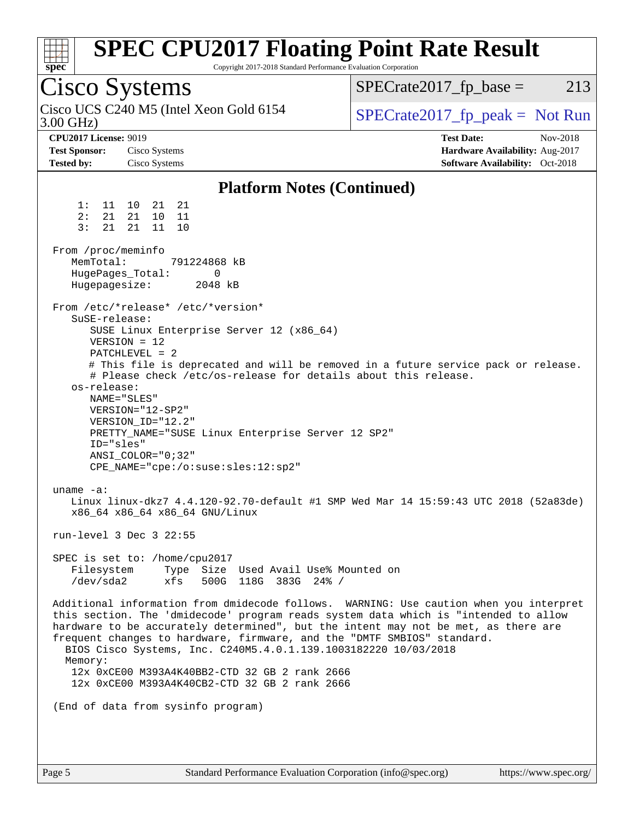| Spec                                                                                                                                            | Copyright 2017-2018 Standard Performance Evaluation Corporation                                                                                                                                                                                                                                                                                                                                                                                        | <b>SPEC CPU2017 Floating Point Rate Result</b>                                                                                                                                                                                                                      |
|-------------------------------------------------------------------------------------------------------------------------------------------------|--------------------------------------------------------------------------------------------------------------------------------------------------------------------------------------------------------------------------------------------------------------------------------------------------------------------------------------------------------------------------------------------------------------------------------------------------------|---------------------------------------------------------------------------------------------------------------------------------------------------------------------------------------------------------------------------------------------------------------------|
| Cisco Systems                                                                                                                                   |                                                                                                                                                                                                                                                                                                                                                                                                                                                        | $SPECrate2017_fp\_base =$<br>213                                                                                                                                                                                                                                    |
| $3.00$ GHz)                                                                                                                                     | Cisco UCS C240 M5 (Intel Xeon Gold 6154                                                                                                                                                                                                                                                                                                                                                                                                                | $SPECrate2017fr peak = Not Run$                                                                                                                                                                                                                                     |
| <b>CPU2017 License: 9019</b><br><b>Test Sponsor:</b><br><b>Tested by:</b>                                                                       | Cisco Systems<br>Cisco Systems                                                                                                                                                                                                                                                                                                                                                                                                                         | <b>Test Date:</b><br>Nov-2018<br>Hardware Availability: Aug-2017<br><b>Software Availability:</b> Oct-2018                                                                                                                                                          |
|                                                                                                                                                 | <b>Platform Notes (Continued)</b>                                                                                                                                                                                                                                                                                                                                                                                                                      |                                                                                                                                                                                                                                                                     |
| 1:<br>2:<br>21<br>3:<br>21<br>From /proc/meminfo<br>MemTotal:<br>HugePages_Total:<br>Hugepagesize:<br>SuSE-release:<br>os-release:<br>ID="sles" | 11 10 21 21<br>21<br>10<br>11<br>21<br>11<br>10<br>791224868 kB<br>0<br>2048 kB<br>From /etc/*release* /etc/*version*<br>SUSE Linux Enterprise Server 12 (x86_64)<br>$VERSION = 12$<br>PATCHLEVEL = 2<br># Please check /etc/os-release for details about this release.<br>NAME="SLES"<br>VERSION="12-SP2"<br>VERSION ID="12.2"<br>PRETTY_NAME="SUSE Linux Enterprise Server 12 SP2"<br>$ANSI$ _COLOR=" $0:32$ "<br>CPE_NAME="cpe:/o:suse:sles:12:sp2" | # This file is deprecated and will be removed in a future service pack or release.                                                                                                                                                                                  |
| uname $-a$ :<br>Filesystem<br>/dev/sda2                                                                                                         | x86_64 x86_64 x86_64 GNU/Linux<br>run-level 3 Dec 3 22:55<br>SPEC is set to: /home/cpu2017<br>Type Size Used Avail Use% Mounted on<br>xfs<br>500G 118G 383G 24% /                                                                                                                                                                                                                                                                                      | Linux linux-dkz7 4.4.120-92.70-default #1 SMP Wed Mar 14 15:59:43 UTC 2018 (52a83de)                                                                                                                                                                                |
| Memory:                                                                                                                                         | frequent changes to hardware, firmware, and the "DMTF SMBIOS" standard.<br>BIOS Cisco Systems, Inc. C240M5.4.0.1.139.1003182220 10/03/2018<br>12x 0xCE00 M393A4K40BB2-CTD 32 GB 2 rank 2666<br>12x 0xCE00 M393A4K40CB2-CTD 32 GB 2 rank 2666                                                                                                                                                                                                           | Additional information from dmidecode follows. WARNING: Use caution when you interpret<br>this section. The 'dmidecode' program reads system data which is "intended to allow<br>hardware to be accurately determined", but the intent may not be met, as there are |
|                                                                                                                                                 | (End of data from sysinfo program)                                                                                                                                                                                                                                                                                                                                                                                                                     |                                                                                                                                                                                                                                                                     |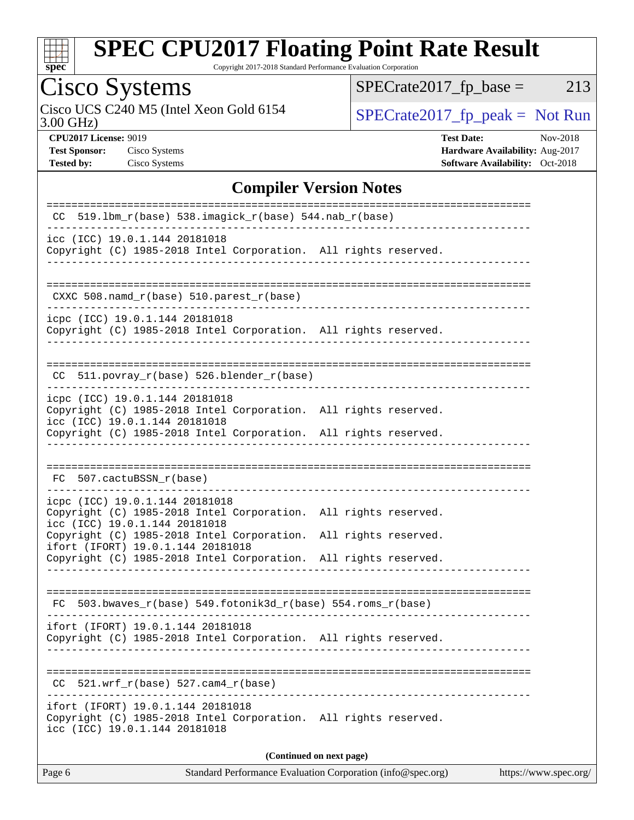

Copyright 2017-2018 Standard Performance Evaluation Corporation

# Cisco Systems<br>Cisco UCS C240 M5 (Intel Xeon Gold 6154

3.00 GHz)

 $SPECrate2017_fp\_base = 213$ 

**[Test Sponsor:](http://www.spec.org/auto/cpu2017/Docs/result-fields.html#TestSponsor)** Cisco Systems **[Hardware Availability:](http://www.spec.org/auto/cpu2017/Docs/result-fields.html#HardwareAvailability)** Aug-2017

 $SPECTate 2017_fp\_peak = Not Run$ 

**[CPU2017 License:](http://www.spec.org/auto/cpu2017/Docs/result-fields.html#CPU2017License)** 9019 **[Test Date:](http://www.spec.org/auto/cpu2017/Docs/result-fields.html#TestDate)** Nov-2018 **[Tested by:](http://www.spec.org/auto/cpu2017/Docs/result-fields.html#Testedby)** Cisco Systems **[Software Availability:](http://www.spec.org/auto/cpu2017/Docs/result-fields.html#SoftwareAvailability)** Oct-2018

#### **[Compiler Version Notes](http://www.spec.org/auto/cpu2017/Docs/result-fields.html#CompilerVersionNotes)**

| $CC$ 519.1bm_ $r(base)$ 538.imagick_ $r(base)$ 544.nab_ $r(base)$                                                                                                       |
|-------------------------------------------------------------------------------------------------------------------------------------------------------------------------|
| icc (ICC) 19.0.1.144 20181018<br>Copyright (C) 1985-2018 Intel Corporation. All rights reserved.                                                                        |
| CXXC 508.namd_r(base) 510.parest_r(base)                                                                                                                                |
| icpc (ICC) 19.0.1.144 20181018<br>Copyright (C) 1985-2018 Intel Corporation. All rights reserved.                                                                       |
| CC 511.povray_r(base) 526.blender_r(base)                                                                                                                               |
| icpc (ICC) 19.0.1.144 20181018<br>Copyright (C) 1985-2018 Intel Corporation. All rights reserved.<br>icc (ICC) 19.0.1.144 20181018                                      |
| Copyright (C) 1985-2018 Intel Corporation. All rights reserved.                                                                                                         |
| FC 507.cactuBSSN_r(base)                                                                                                                                                |
| icpc (ICC) 19.0.1.144 20181018<br>Copyright (C) 1985-2018 Intel Corporation. All rights reserved.<br>icc (ICC) 19.0.1.144 20181018                                      |
| Copyright (C) 1985-2018 Intel Corporation. All rights reserved.<br>ifort (IFORT) 19.0.1.144 20181018<br>Copyright (C) 1985-2018 Intel Corporation. All rights reserved. |
| 503.bwaves_r(base) 549.fotonik3d_r(base) 554.roms_r(base)<br>FC.                                                                                                        |
| ifort (IFORT) 19.0.1.144 20181018<br>Copyright (C) 1985-2018 Intel Corporation. All rights reserved.                                                                    |
| $521.wrf_r(base) 527.cam4_r(base)$                                                                                                                                      |
| ifort (IFORT) 19.0.1.144 20181018<br>Copyright (C) 1985-2018 Intel Corporation. All rights reserved.<br>icc (ICC) 19.0.1.144 20181018                                   |
| (Continued on next page)                                                                                                                                                |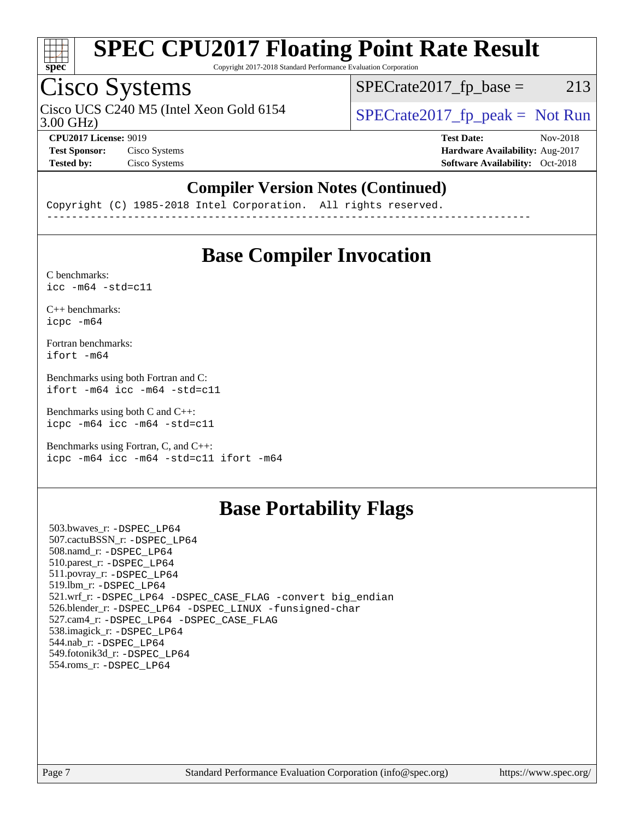

Copyright 2017-2018 Standard Performance Evaluation Corporation

## Cisco Systems

Cisco UCS C240 M5 (Intel Xeon Gold 6154  $\vert$  [SPECrate2017\\_fp\\_peak =](http://www.spec.org/auto/cpu2017/Docs/result-fields.html#SPECrate2017fppeak) Not Run

 $SPECTate2017<sub>fr</sub> base = 213$ 

3.00 GHz)

**[Tested by:](http://www.spec.org/auto/cpu2017/Docs/result-fields.html#Testedby)** Cisco Systems **[Software Availability:](http://www.spec.org/auto/cpu2017/Docs/result-fields.html#SoftwareAvailability)** Oct-2018

**[CPU2017 License:](http://www.spec.org/auto/cpu2017/Docs/result-fields.html#CPU2017License)** 9019 **[Test Date:](http://www.spec.org/auto/cpu2017/Docs/result-fields.html#TestDate)** Nov-2018 **[Test Sponsor:](http://www.spec.org/auto/cpu2017/Docs/result-fields.html#TestSponsor)** Cisco Systems **[Hardware Availability:](http://www.spec.org/auto/cpu2017/Docs/result-fields.html#HardwareAvailability)** Aug-2017

#### **[Compiler Version Notes \(Continued\)](http://www.spec.org/auto/cpu2017/Docs/result-fields.html#CompilerVersionNotes)**

Copyright (C) 1985-2018 Intel Corporation. All rights reserved. ------------------------------------------------------------------------------

## **[Base Compiler Invocation](http://www.spec.org/auto/cpu2017/Docs/result-fields.html#BaseCompilerInvocation)**

[C benchmarks](http://www.spec.org/auto/cpu2017/Docs/result-fields.html#Cbenchmarks):  $\text{icc}$  -m64 -std=c11

[C++ benchmarks:](http://www.spec.org/auto/cpu2017/Docs/result-fields.html#CXXbenchmarks) [icpc -m64](http://www.spec.org/cpu2017/results/res2018q4/cpu2017-20181211-10234.flags.html#user_CXXbase_intel_icpc_64bit_4ecb2543ae3f1412ef961e0650ca070fec7b7afdcd6ed48761b84423119d1bf6bdf5cad15b44d48e7256388bc77273b966e5eb805aefd121eb22e9299b2ec9d9)

[Fortran benchmarks](http://www.spec.org/auto/cpu2017/Docs/result-fields.html#Fortranbenchmarks): [ifort -m64](http://www.spec.org/cpu2017/results/res2018q4/cpu2017-20181211-10234.flags.html#user_FCbase_intel_ifort_64bit_24f2bb282fbaeffd6157abe4f878425411749daecae9a33200eee2bee2fe76f3b89351d69a8130dd5949958ce389cf37ff59a95e7a40d588e8d3a57e0c3fd751)

[Benchmarks using both Fortran and C](http://www.spec.org/auto/cpu2017/Docs/result-fields.html#BenchmarksusingbothFortranandC): [ifort -m64](http://www.spec.org/cpu2017/results/res2018q4/cpu2017-20181211-10234.flags.html#user_CC_FCbase_intel_ifort_64bit_24f2bb282fbaeffd6157abe4f878425411749daecae9a33200eee2bee2fe76f3b89351d69a8130dd5949958ce389cf37ff59a95e7a40d588e8d3a57e0c3fd751) [icc -m64 -std=c11](http://www.spec.org/cpu2017/results/res2018q4/cpu2017-20181211-10234.flags.html#user_CC_FCbase_intel_icc_64bit_c11_33ee0cdaae7deeeab2a9725423ba97205ce30f63b9926c2519791662299b76a0318f32ddfffdc46587804de3178b4f9328c46fa7c2b0cd779d7a61945c91cd35)

[Benchmarks using both C and C++](http://www.spec.org/auto/cpu2017/Docs/result-fields.html#BenchmarksusingbothCandCXX): [icpc -m64](http://www.spec.org/cpu2017/results/res2018q4/cpu2017-20181211-10234.flags.html#user_CC_CXXbase_intel_icpc_64bit_4ecb2543ae3f1412ef961e0650ca070fec7b7afdcd6ed48761b84423119d1bf6bdf5cad15b44d48e7256388bc77273b966e5eb805aefd121eb22e9299b2ec9d9) [icc -m64 -std=c11](http://www.spec.org/cpu2017/results/res2018q4/cpu2017-20181211-10234.flags.html#user_CC_CXXbase_intel_icc_64bit_c11_33ee0cdaae7deeeab2a9725423ba97205ce30f63b9926c2519791662299b76a0318f32ddfffdc46587804de3178b4f9328c46fa7c2b0cd779d7a61945c91cd35)

[Benchmarks using Fortran, C, and C++:](http://www.spec.org/auto/cpu2017/Docs/result-fields.html#BenchmarksusingFortranCandCXX) [icpc -m64](http://www.spec.org/cpu2017/results/res2018q4/cpu2017-20181211-10234.flags.html#user_CC_CXX_FCbase_intel_icpc_64bit_4ecb2543ae3f1412ef961e0650ca070fec7b7afdcd6ed48761b84423119d1bf6bdf5cad15b44d48e7256388bc77273b966e5eb805aefd121eb22e9299b2ec9d9) [icc -m64 -std=c11](http://www.spec.org/cpu2017/results/res2018q4/cpu2017-20181211-10234.flags.html#user_CC_CXX_FCbase_intel_icc_64bit_c11_33ee0cdaae7deeeab2a9725423ba97205ce30f63b9926c2519791662299b76a0318f32ddfffdc46587804de3178b4f9328c46fa7c2b0cd779d7a61945c91cd35) [ifort -m64](http://www.spec.org/cpu2017/results/res2018q4/cpu2017-20181211-10234.flags.html#user_CC_CXX_FCbase_intel_ifort_64bit_24f2bb282fbaeffd6157abe4f878425411749daecae9a33200eee2bee2fe76f3b89351d69a8130dd5949958ce389cf37ff59a95e7a40d588e8d3a57e0c3fd751)

## **[Base Portability Flags](http://www.spec.org/auto/cpu2017/Docs/result-fields.html#BasePortabilityFlags)**

 503.bwaves\_r: [-DSPEC\\_LP64](http://www.spec.org/cpu2017/results/res2018q4/cpu2017-20181211-10234.flags.html#suite_basePORTABILITY503_bwaves_r_DSPEC_LP64) 507.cactuBSSN\_r: [-DSPEC\\_LP64](http://www.spec.org/cpu2017/results/res2018q4/cpu2017-20181211-10234.flags.html#suite_basePORTABILITY507_cactuBSSN_r_DSPEC_LP64) 508.namd\_r: [-DSPEC\\_LP64](http://www.spec.org/cpu2017/results/res2018q4/cpu2017-20181211-10234.flags.html#suite_basePORTABILITY508_namd_r_DSPEC_LP64) 510.parest\_r: [-DSPEC\\_LP64](http://www.spec.org/cpu2017/results/res2018q4/cpu2017-20181211-10234.flags.html#suite_basePORTABILITY510_parest_r_DSPEC_LP64) 511.povray\_r: [-DSPEC\\_LP64](http://www.spec.org/cpu2017/results/res2018q4/cpu2017-20181211-10234.flags.html#suite_basePORTABILITY511_povray_r_DSPEC_LP64) 519.lbm\_r: [-DSPEC\\_LP64](http://www.spec.org/cpu2017/results/res2018q4/cpu2017-20181211-10234.flags.html#suite_basePORTABILITY519_lbm_r_DSPEC_LP64) 521.wrf\_r: [-DSPEC\\_LP64](http://www.spec.org/cpu2017/results/res2018q4/cpu2017-20181211-10234.flags.html#suite_basePORTABILITY521_wrf_r_DSPEC_LP64) [-DSPEC\\_CASE\\_FLAG](http://www.spec.org/cpu2017/results/res2018q4/cpu2017-20181211-10234.flags.html#b521.wrf_r_baseCPORTABILITY_DSPEC_CASE_FLAG) [-convert big\\_endian](http://www.spec.org/cpu2017/results/res2018q4/cpu2017-20181211-10234.flags.html#user_baseFPORTABILITY521_wrf_r_convert_big_endian_c3194028bc08c63ac5d04de18c48ce6d347e4e562e8892b8bdbdc0214820426deb8554edfa529a3fb25a586e65a3d812c835984020483e7e73212c4d31a38223) 526.blender\_r: [-DSPEC\\_LP64](http://www.spec.org/cpu2017/results/res2018q4/cpu2017-20181211-10234.flags.html#suite_basePORTABILITY526_blender_r_DSPEC_LP64) [-DSPEC\\_LINUX](http://www.spec.org/cpu2017/results/res2018q4/cpu2017-20181211-10234.flags.html#b526.blender_r_baseCPORTABILITY_DSPEC_LINUX) [-funsigned-char](http://www.spec.org/cpu2017/results/res2018q4/cpu2017-20181211-10234.flags.html#user_baseCPORTABILITY526_blender_r_force_uchar_40c60f00ab013830e2dd6774aeded3ff59883ba5a1fc5fc14077f794d777847726e2a5858cbc7672e36e1b067e7e5c1d9a74f7176df07886a243d7cc18edfe67) 527.cam4\_r: [-DSPEC\\_LP64](http://www.spec.org/cpu2017/results/res2018q4/cpu2017-20181211-10234.flags.html#suite_basePORTABILITY527_cam4_r_DSPEC_LP64) [-DSPEC\\_CASE\\_FLAG](http://www.spec.org/cpu2017/results/res2018q4/cpu2017-20181211-10234.flags.html#b527.cam4_r_baseCPORTABILITY_DSPEC_CASE_FLAG) 538.imagick\_r: [-DSPEC\\_LP64](http://www.spec.org/cpu2017/results/res2018q4/cpu2017-20181211-10234.flags.html#suite_basePORTABILITY538_imagick_r_DSPEC_LP64) 544.nab\_r: [-DSPEC\\_LP64](http://www.spec.org/cpu2017/results/res2018q4/cpu2017-20181211-10234.flags.html#suite_basePORTABILITY544_nab_r_DSPEC_LP64) 549.fotonik3d\_r: [-DSPEC\\_LP64](http://www.spec.org/cpu2017/results/res2018q4/cpu2017-20181211-10234.flags.html#suite_basePORTABILITY549_fotonik3d_r_DSPEC_LP64) 554.roms\_r: [-DSPEC\\_LP64](http://www.spec.org/cpu2017/results/res2018q4/cpu2017-20181211-10234.flags.html#suite_basePORTABILITY554_roms_r_DSPEC_LP64)